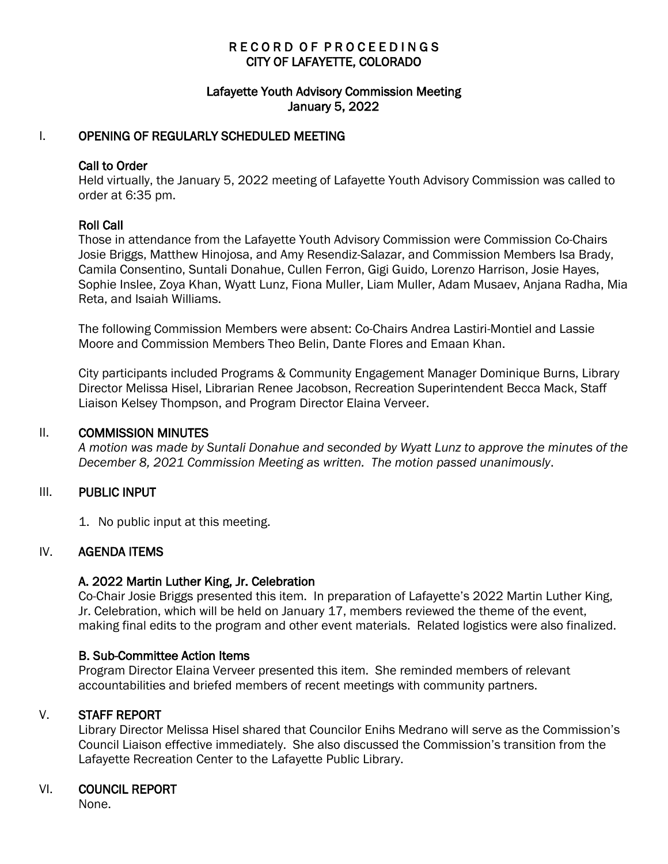# RECORD OF PROCEEDINGS CITY OF LAFAYETTE, COLORADO

## Lafayette Youth Advisory Commission Meeting January 5, 2022

### I. OPENING OF REGULARLY SCHEDULED MEETING

#### Call to Order

Held virtually, the January 5, 2022 meeting of Lafayette Youth Advisory Commission was called to order at 6:35 pm.

### Roll Call

Those in attendance from the Lafayette Youth Advisory Commission were Commission Co-Chairs Josie Briggs, Matthew Hinojosa, and Amy Resendiz-Salazar, and Commission Members Isa Brady, Camila Consentino, Suntali Donahue, Cullen Ferron, Gigi Guido, Lorenzo Harrison, Josie Hayes, Sophie Inslee, Zoya Khan, Wyatt Lunz, Fiona Muller, Liam Muller, Adam Musaev, Anjana Radha, Mia Reta, and Isaiah Williams.

The following Commission Members were absent: Co-Chairs Andrea Lastiri-Montiel and Lassie Moore and Commission Members Theo Belin, Dante Flores and Emaan Khan.

City participants included Programs & Community Engagement Manager Dominique Burns, Library Director Melissa Hisel, Librarian Renee Jacobson, Recreation Superintendent Becca Mack, Staff Liaison Kelsey Thompson, and Program Director Elaina Verveer.

#### II. COMMISSION MINUTES

*A motion was made by Suntali Donahue and seconded by Wyatt Lunz to approve the minutes of the December 8, 2021 Commission Meeting as written. The motion passed unanimously*.

### III. PUBLIC INPUT

1. No public input at this meeting.

### IV. AGENDA ITEMS

### A. 2022 Martin Luther King, Jr. Celebration

Co-Chair Josie Briggs presented this item. In preparation of Lafayette's 2022 Martin Luther King, Jr. Celebration, which will be held on January 17, members reviewed the theme of the event, making final edits to the program and other event materials. Related logistics were also finalized.

### B. Sub-Committee Action Items

Program Director Elaina Verveer presented this item. She reminded members of relevant accountabilities and briefed members of recent meetings with community partners.

### V. STAFF REPORT

Library Director Melissa Hisel shared that Councilor Enihs Medrano will serve as the Commission's Council Liaison effective immediately. She also discussed the Commission's transition from the Lafayette Recreation Center to the Lafayette Public Library.

### VI. COUNCIL REPORT

None.